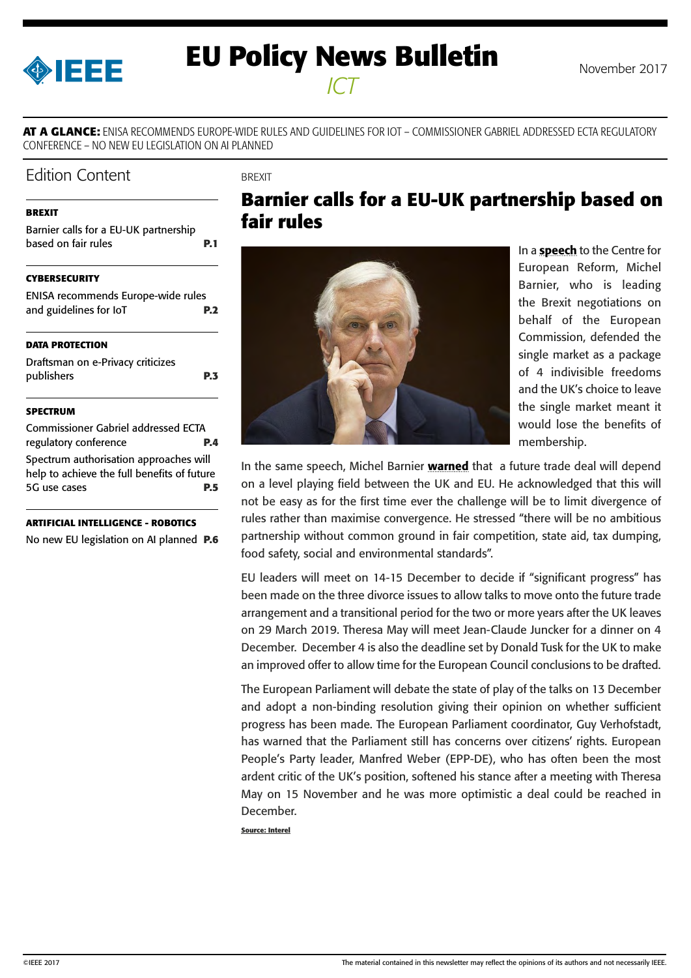<span id="page-0-0"></span>

# **EU Policy News Bulletin** November 2017 *ICT*

**AT A GLANCE:** ENISA RECOMMENDS EUROPE-WIDE RULES AND GUIDELINES FOR IOT – COMMISSIONER GABRIEL ADDRESSED ECTA REGULATORY CONFERENCE – NO NEW EU LEGISLATION ON AI PLANNED

### Edition Content

**BREXIT** 

#### **BREXIT**

Barnier calls for a EU-UK partnership based on fair rules **P.1** 

#### **[CYBERSECURITY](#page-1-0)**

[ENISA recommends Europe-wide rules](#page-1-0)  [and guidelines for IoT](#page-1-0) **P.2**

#### **[DATA PROTECTION](#page-2-0)**

| Draftsman on e-Privacy criticizes |            |
|-----------------------------------|------------|
| publishers                        | <b>P.3</b> |

#### **[SPECTRUM](#page-3-0)**

[Commissioner Gabriel addressed ECTA](#page-3-0)  [regulatory conference](#page-3-0) **P.4** [Spectrum authorisation approaches will](#page-4-0)  [help to achieve the full benefits of future](#page-4-0)  [5G use cases](#page-4-0) **P.5**

**[ARTIFICIAL INTELLIGENCE - ROBOTICS](#page-5-0)**

[No new EU legislation on AI planned](#page-5-0) **P.6**

# **Barnier calls for a EU-UK partnership based on fair rules**



In a **[speech](http://europa.eu/rapid/press-release_SPEECH-17-4765_en.htm)** to the Centre for European Reform, Michel Barnier, who is leading the Brexit negotiations on behalf of the European Commission, defended the single market as a package of 4 indivisible freedoms and the UK's choice to leave the single market meant it would lose the benefits of membership.

In the same speech, Michel Barnier [warned](http://europa.eu/rapid/press-release_SPEECH-17-4765_en.htm) that a future trade deal will depend on a level playing field between the UK and EU. He acknowledged that this will not be easy as for the first time ever the challenge will be to limit divergence of rules rather than maximise convergence. He stressed "there will be no ambitious partnership without common ground in fair competition, state aid, tax dumping, food safety, social and environmental standards".

EU leaders will meet on 14-15 December to decide if "significant progress" has been made on the three divorce issues to allow talks to move onto the future trade arrangement and a transitional period for the two or more years after the UK leaves on 29 March 2019. Theresa May will meet Jean-Claude Juncker for a dinner on 4 December. December 4 is also the deadline set by Donald Tusk for the UK to make an improved offer to allow time for the European Council conclusions to be drafted.

The European Parliament will debate the state of play of the talks on 13 December and adopt a non-binding resolution giving their opinion on whether sufficient progress has been made. The European Parliament coordinator, Guy Verhofstadt, has warned that the Parliament still has concerns over citizens' rights. European People's Party leader, Manfred Weber (EPP-DE), who has often been the most ardent critic of the UK's position, softened his stance after a meeting with Theresa May on 15 November and he was more optimistic a deal could be reached in December.

**Source: Interel**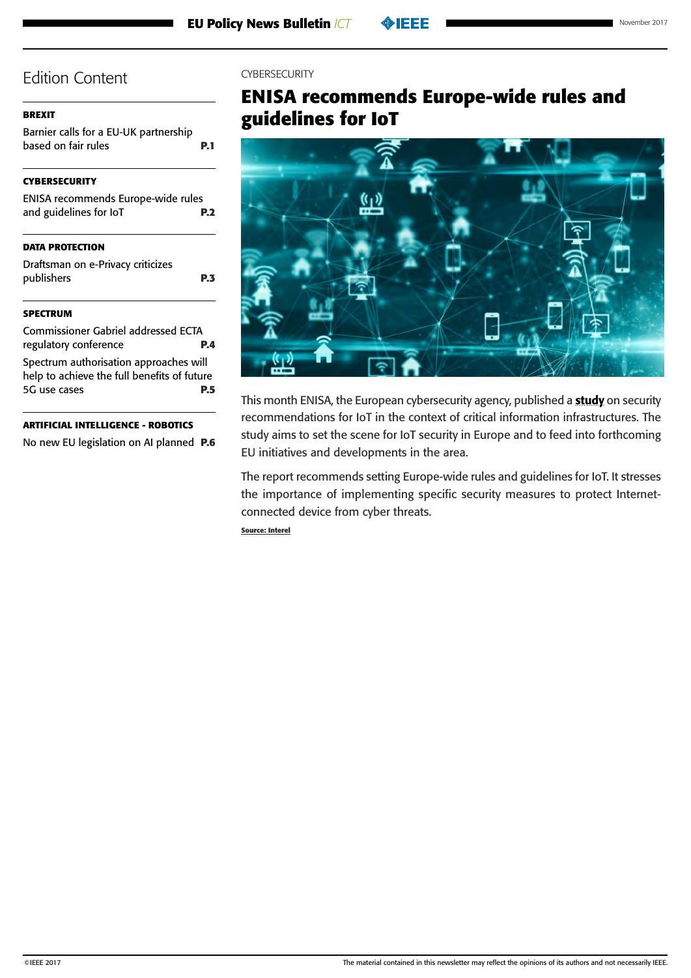#### <span id="page-1-0"></span>**[BREXIT](#page-0-0)**

[Barnier calls for a EU-UK partnership](#page-0-0)  [based on fair rules](#page-0-0) **P.1** 

#### **CYBERSECURITY**

| ENISA recommends Europe-wide rules |            |
|------------------------------------|------------|
| and guidelines for IoT             | <b>P.2</b> |
|                                    |            |

#### **[DATA PROTECTION](#page-2-0)**

[Draftsman on e-Privacy criticizes](#page-2-0)  [publishers](#page-2-0) **P.3**

#### **[SPECTRUM](#page-3-0)**

[Commissioner Gabriel addressed ECTA](#page-3-0)  [regulatory conference](#page-3-0) **P.4** [Spectrum authorisation approaches will](#page-4-0)  [help to achieve the full benefits of future](#page-4-0)  [5G use cases](#page-4-0) **P.5**

#### **[ARTIFICIAL INTELLIGENCE - ROBOTICS](#page-5-0)**

[No new EU legislation on AI planned](#page-5-0) **P.6**

#### **CYBERSECURITY**

# **ENISA recommends Europe-wide rules and guidelines for IoT**



This month ENISA, the European cybersecurity agency, published a [study](https://www.enisa.europa.eu/publications/baseline-security-recommendations-for-iot) on security recommendations for IoT in the context of critical information infrastructures. The study aims to set the scene for IoT security in Europe and to feed into forthcoming EU initiatives and developments in the area.

The report recommends setting Europe-wide rules and guidelines for IoT. It stresses the importance of implementing specific security measures to protect Internetconnected device from cyber threats.

**Source: Interel**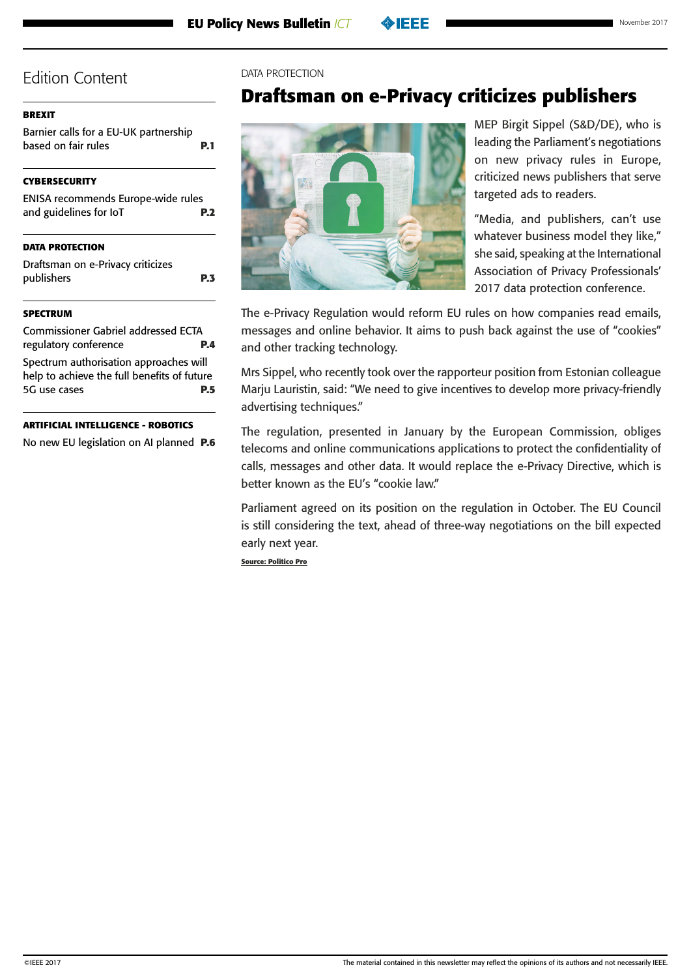#### <span id="page-2-0"></span>**[BREXIT](#page-0-0)**

[Barnier calls for a EU-UK partnership](#page-0-0)  [based on fair rules](#page-0-0) **P.1** 

### **[CYBERSECURITY](#page-1-0)**

| ENISA recommends Europe-wide rules |            |
|------------------------------------|------------|
| and guidelines for IoT             | <b>P.2</b> |

#### **DATA PROTECTION**

Draftsman on e-Privacy criticizes publishers **P.3**

#### **[SPECTRUM](#page-3-0)**

[Commissioner Gabriel addressed ECTA](#page-3-0)  [regulatory conference](#page-3-0) **P.4** [Spectrum authorisation approaches will](#page-4-0)  [help to achieve the full benefits of future](#page-4-0)  [5G use cases](#page-4-0) **P.5**

#### **[ARTIFICIAL INTELLIGENCE - ROBOTICS](#page-5-0)**

[No new EU legislation on AI planned](#page-5-0) **P.6**

#### DATA PROTECTION

# **Draftsman on e-Privacy criticizes publishers**



MEP Birgit Sippel (S&D/DE), who is leading the Parliament's negotiations on new privacy rules in Europe, criticized news publishers that serve targeted ads to readers.

"Media, and publishers, can't use whatever business model they like," she said, speaking at the International Association of Privacy Professionals' 2017 data protection conference.

The e-Privacy Regulation would reform EU rules on how companies read emails, messages and online behavior. It aims to push back against the use of "cookies" and other tracking technology.

Mrs Sippel, who recently took over the rapporteur position from Estonian colleague Marju Lauristin, said: "We need to give incentives to develop more privacy-friendly advertising techniques."

The regulation, presented in January by the European Commission, obliges telecoms and online communications applications to protect the confidentiality of calls, messages and other data. It would replace the e-Privacy Directive, which is better known as the EU's "cookie law."

Parliament agreed on its position on the regulation in October. The EU Council is still considering the text, ahead of three-way negotiations on the bill expected early next year.

**Source: Politico Pro**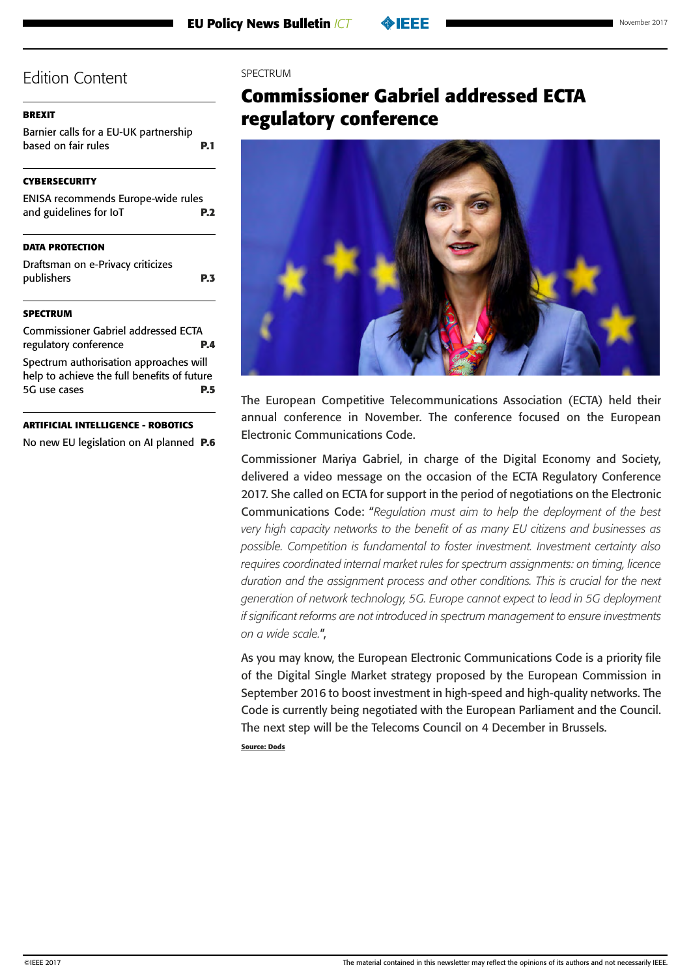#### <span id="page-3-0"></span>**[BREXIT](#page-0-0)**

[Barnier calls for a EU-UK partnership](#page-0-0)  [based on fair rules](#page-0-0) **P.1** 

#### **[CYBERSECURITY](#page-1-0)**

| <b>ENISA recommends Europe-wide rules</b> |            |
|-------------------------------------------|------------|
| and guidelines for IoT                    | <b>P.2</b> |
|                                           |            |

#### **[DATA PROTECTION](#page-2-0)**

[Draftsman on e-Privacy criticizes](#page-2-0)  [publishers](#page-2-0) **P.3**

#### **SPECTRUM**

Commissioner Gabriel addressed ECTA regulatory conference **P.4** [Spectrum authorisation approaches will](#page-4-0)  [help to achieve the full benefits of future](#page-4-0)  [5G use cases](#page-4-0) **P.5**

#### **[ARTIFICIAL INTELLIGENCE - ROBOTICS](#page-5-0)**

[No new EU legislation on AI planned](#page-5-0) **P.6**

#### **SPECTRUM**

# **Commissioner Gabriel addressed ECTA regulatory conference**



The European Competitive Telecommunications Association (ECTA) held their annual conference in November. The conference focused on the European Electronic Communications Code.

Commissioner Mariya Gabriel, in charge of the Digital Economy and Society, delivered a video message on the occasion of the ECTA Regulatory Conference 2017. She called on ECTA for support in the period of negotiations on the Electronic Communications Code: "*Regulation must aim to help the deployment of the best very high capacity networks to the benefit of as many EU citizens and businesses as possible. Competition is fundamental to foster investment. Investment certainty also requires coordinated internal market rules for spectrum assignments: on timing, licence duration and the assignment process and other conditions. This is crucial for the next generation of network technology, 5G. Europe cannot expect to lead in 5G deployment if significant reforms are not introduced in spectrum management to ensure investments on a wide scale.*",

As you may know, the European Electronic Communications Code is a priority file of the Digital Single Market strategy proposed by the European Commission in September 2016 to boost investment in high-speed and high-quality networks. The Code is currently being negotiated with the European Parliament and the Council. The next step will be the Telecoms Council on 4 December in Brussels.

**Source: Dods**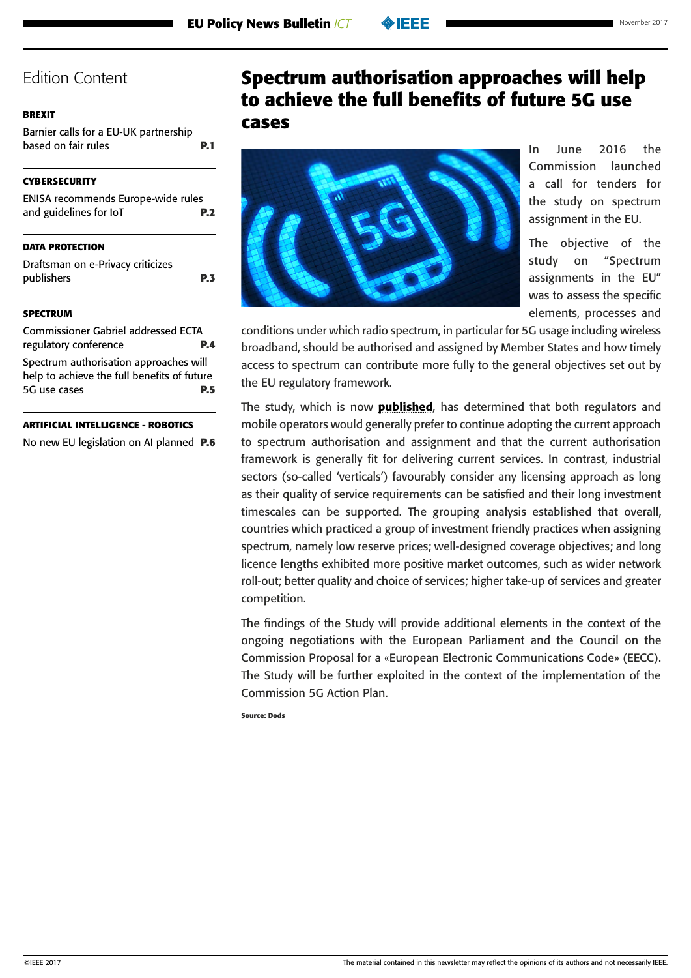| November 2017 |  |
|---------------|--|
|               |  |

#### <span id="page-4-0"></span>**[BREXIT](#page-0-0)**

[Barnier calls for a EU-UK partnership](#page-0-0)  [based on fair rules](#page-0-0) **P.1** 

#### **[CYBERSECURITY](#page-1-0)**

| ENISA recommends Europe-wide rules |            |
|------------------------------------|------------|
| and guidelines for IoT             | <b>P.2</b> |
|                                    |            |
|                                    |            |

#### **[DATA PROTECTION](#page-2-0)**

[Draftsman on e-Privacy criticizes](#page-2-0)  [publishers](#page-2-0) **P.3**

#### **[SPECTRUM](#page-3-0)**

[Commissioner Gabriel addressed ECTA](#page-3-0)  [regulatory conference](#page-3-0) **P.4** Spectrum authorisation approaches will help to achieve the full benefits of future 5G use cases **P.5**

#### **[ARTIFICIAL INTELLIGENCE - ROBOTICS](#page-5-0)**

[No new EU legislation on AI planned](#page-5-0) **P.6**

# **Spectrum authorisation approaches will help to achieve the full benefits of future 5G use cases**



In June 2016 the Commission launched a call for tenders for the study on spectrum assignment in the EU.

The objective of the study on "Spectrum assignments in the EU" was to assess the specific elements, processes and

conditions under which radio spectrum, in particular for 5G usage including wireless broadband, should be authorised and assigned by Member States and how timely access to spectrum can contribute more fully to the general objectives set out by the EU regulatory framework.

The study, which is now **[published](https://ec.europa.eu/digital-single-market/en/news/wide-range-spectrum-authorisation-approaches-will-help-achieve-full-benefits-future-5g-use)**, has determined that both regulators and mobile operators would generally prefer to continue adopting the current approach to spectrum authorisation and assignment and that the current authorisation framework is generally fit for delivering current services. In contrast, industrial sectors (so-called 'verticals') favourably consider any licensing approach as long as their quality of service requirements can be satisfied and their long investment timescales can be supported. The grouping analysis established that overall, countries which practiced a group of investment friendly practices when assigning spectrum, namely low reserve prices; well-designed coverage objectives; and long licence lengths exhibited more positive market outcomes, such as wider network roll-out; better quality and choice of services; higher take-up of services and greater competition.

The findings of the Study will provide additional elements in the context of the ongoing negotiations with the European Parliament and the Council on the Commission Proposal for a «European Electronic Communications Code» (EECC). The Study will be further exploited in the context of the implementation of the Commission 5G Action Plan.

**Source: Dods**